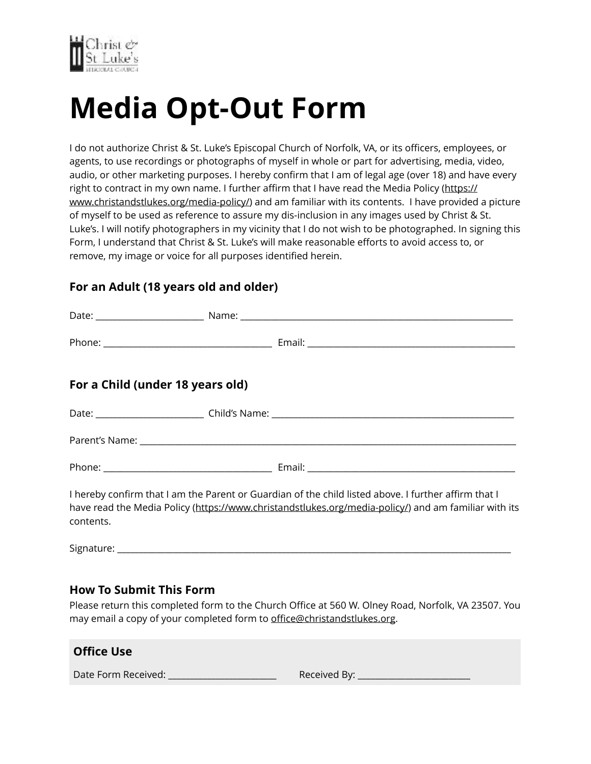

## **Media Opt-Out Form**

I do not authorize Christ & St. Luke's Episcopal Church of Norfolk, VA, or its officers, employees, or agents, to use recordings or photographs of myself in whole or part for advertising, media, video, audio, or other marketing purposes. I hereby confirm that I am of legal age (over 18) and have every right to contract in my own name. I further affirm that I have read the Media Policy ([https://](https://www.christandstlukes.org/media-policy/) [www.christandstlukes.org/media-policy/](https://www.christandstlukes.org/media-policy/)) and am familiar with its contents. I have provided a picture of myself to be used as reference to assure my dis-inclusion in any images used by Christ & St. Luke's. I will notify photographers in my vicinity that I do not wish to be photographed. In signing this Form, I understand that Christ & St. Luke's will make reasonable efforts to avoid access to, or remove, my image or voice for all purposes identified herein.

## **For an Adult (18 years old and older)**

| For a Child (under 18 years old) |                                                                                                                                                                                                              |
|----------------------------------|--------------------------------------------------------------------------------------------------------------------------------------------------------------------------------------------------------------|
|                                  |                                                                                                                                                                                                              |
|                                  |                                                                                                                                                                                                              |
|                                  |                                                                                                                                                                                                              |
|                                  | I hereby confirm that I am the Parent or Guardian of the child listed above. I further affirm that I<br>have read the Media Policy (https://www.christandstlukes.org/media-policy/) and am familiar with its |

Signature: \_\_\_\_\_\_\_\_\_\_\_\_\_\_\_\_\_\_\_\_\_\_\_\_\_\_\_\_\_\_\_\_\_\_\_\_\_\_\_\_\_\_\_\_\_\_\_\_\_\_\_\_\_\_\_\_\_\_\_\_\_\_\_\_\_\_\_\_\_\_\_\_\_\_\_\_\_\_\_\_\_\_\_\_\_\_\_\_\_\_\_

## **How To Submit This Form**

contents.

Please return this completed form to the Church Office at 560 W. Olney Road, Norfolk, VA 23507. You may email a copy of your completed form to offi[ce@christandstlukes.org.](mailto:office@christandstlukes.org)

| <b>Office Use</b>   |              |
|---------------------|--------------|
| Date Form Received: | Received By: |